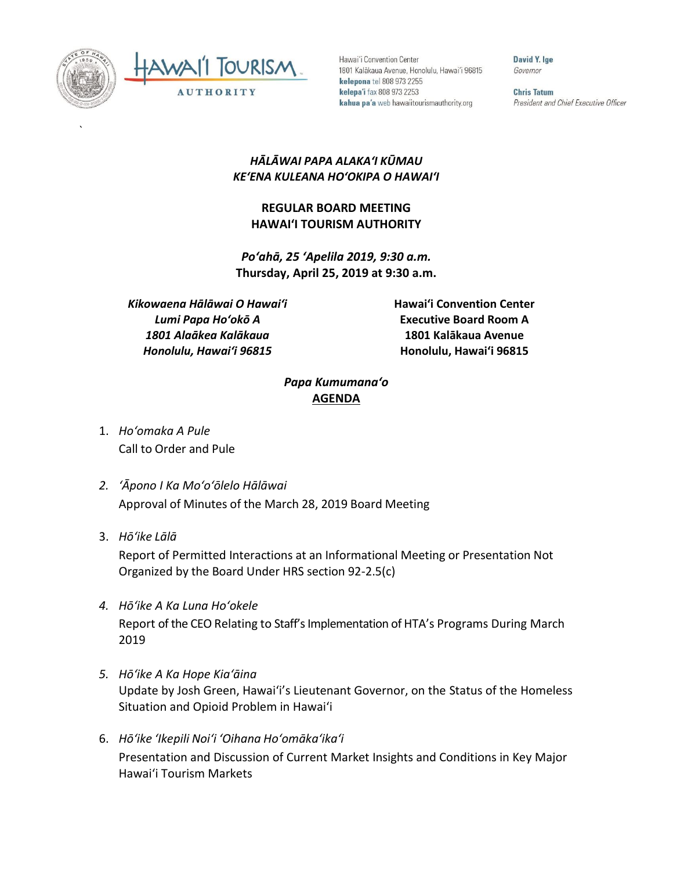

`



Hawai'i Convention Center 1801 Kalākaua Avenue, Honolulu, Hawai'i 96815 kelepona tel 808 973 2255 kelepa'i fax 808 973 2253 kahua pa'a web hawaiitourismauthority.org

David Y. lge Governor

**Chris Tatum** President and Chief Executive Officer

## *HĀLĀWAI PAPA ALAKAʻI KŪMAU KEʻENA KULEANA HOʻOKIPA O HAWAIʻI*

## **REGULAR BOARD MEETING HAWAI'I TOURISM AUTHORITY**

*Poʻahā, 25 ʻApelila 2019, 9:30 a.m.* **Thursday, April 25, 2019 at 9:30 a.m.**

*Kikowaena Hālāwai O Hawaiʻi Lumi Papa Hoʻokō A 1801 Alaākea Kalākaua Honolulu, Hawaiʻi 96815*

**Hawai'i Convention Center Executive Board Room A 1801 Kalākaua Avenue Honolulu, Hawai'i 96815**

## *Papa Kumumanaʻo* **AGENDA**

- 1. *Ho'omaka A Pule* Call to Order and Pule
- *2. ʻĀpono I Ka Moʻoʻōlelo Hālāwai* Approval of Minutes of the March 28, 2019 Board Meeting
- 3. *Hō'ike Lālā*

Report of Permitted Interactions at an Informational Meeting or Presentation Not Organized by the Board Under HRS section 92-2.5(c)

*4. Hōʻike A Ka Luna Hoʻokele*

Report of the CEO Relating to Staff's Implementation of HTA's Programs During March 2019

- *5. Hōʻike A Ka Hope Kiaʻāina* Update by Josh Green, Hawai'i's Lieutenant Governor, on the Status of the Homeless Situation and Opioid Problem in Hawai'i
- 6. *Hō'ike 'Ikepili Noi'i 'Oihana Ho'omāka'ika'i* Presentation and Discussion of Current Market Insights and Conditions in Key Major Hawai'i Tourism Markets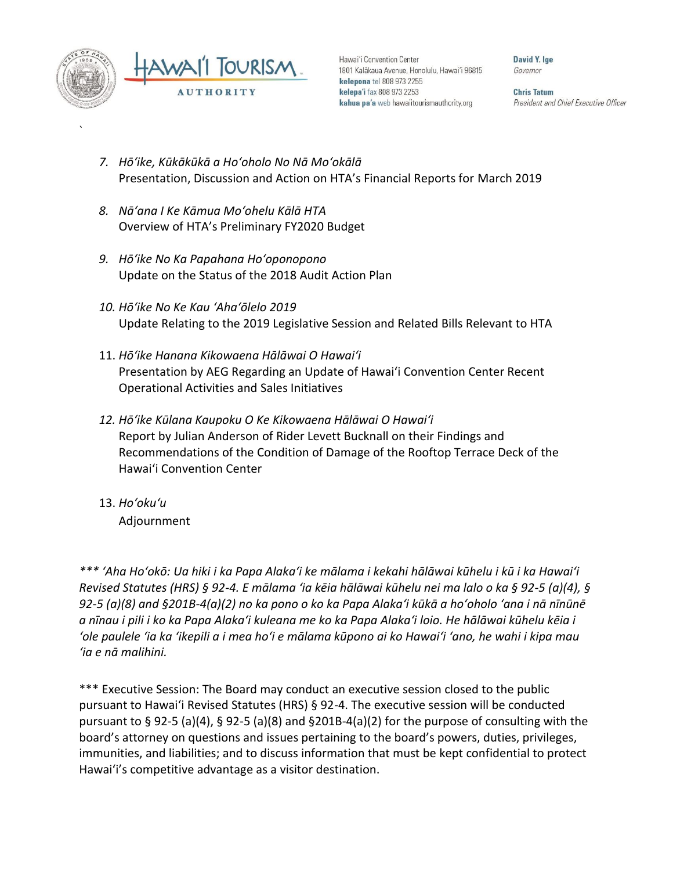

`

Hawai'i Convention Center 1801 Kalākaua Avenue, Honolulu, Hawai'i 96815 kelepona tel 808 973 2255 kelepa'i fax 808 973 2253 kahua pa'a web hawaiitourismauthority.org

David Y. Ine Governor

**Chris Tatum** President and Chief Executive Officer

- *7. Hōʻike, Kūkākūkā a Hoʻoholo No Nā Moʻokālā* Presentation, Discussion and Action on HTA's Financial Reports for March 2019
- *8. Nāʻana I Ke Kāmua Moʻohelu Kālā HTA* Overview of HTA's Preliminary FY2020 Budget
- *9. Hōʻike No Ka Papahana Hoʻoponopono* Update on the Status of the 2018 Audit Action Plan
- *10. Hōʻike No Ke Kau ʻAhaʻōlelo 2019* Update Relating to the 2019 Legislative Session and Related Bills Relevant to HTA
- 11. *Hōʻike Hanana Kikowaena Hālāwai O Hawaiʻi* Presentation by AEG Regarding an Update of Hawai'i Convention Center Recent Operational Activities and Sales Initiatives
- *12. Hōʻike Kūlana Kaupoku O Ke Kikowaena Hālāwai O Hawaiʻi* Report by Julian Anderson of Rider Levett Bucknall on their Findings and Recommendations of the Condition of Damage of the Rooftop Terrace Deck of the Hawai'i Convention Center
- 13. *Ho'oku'u* Adjournment

*\*\*\* ʻAha Hoʻokō: Ua hiki i ka Papa Alakaʻi ke mālama i kekahi hālāwai kūhelu i kū i ka Hawaiʻi Revised Statutes (HRS) § 92-4. E mālama ʻia kēia hālāwai kūhelu nei ma lalo o ka § 92-5 (a)(4), § 92-5 (a)(8) and §201B-4(a)(2) no ka pono o ko ka Papa Alakaʻi kūkā a hoʻoholo ʻana i nā nīnūnē a nīnau i pili i ko ka Papa Alakaʻi kuleana me ko ka Papa Alakaʻi loio. He hālāwai kūhelu kēia i ʻole paulele ʻia ka ʻikepili a i mea hoʻi e mālama kūpono ai ko Hawaiʻi ʻano, he wahi i kipa mau ʻia e nā malihini.*

\*\*\* Executive Session: The Board may conduct an executive session closed to the public pursuant to Hawai'i Revised Statutes (HRS) § 92-4. The executive session will be conducted pursuant to § 92-5 (a)(4), § 92-5 (a)(8) and §201B-4(a)(2) for the purpose of consulting with the board's attorney on questions and issues pertaining to the board's powers, duties, privileges, immunities, and liabilities; and to discuss information that must be kept confidential to protect Hawai'i's competitive advantage as a visitor destination.